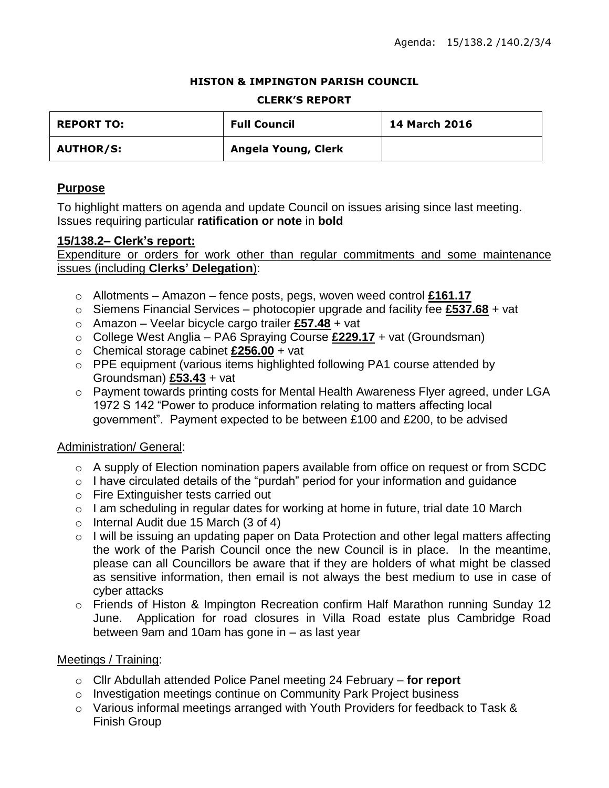## **HISTON & IMPINGTON PARISH COUNCIL**

### **CLERK'S REPORT**

| <b>REPORT TO:</b> | <b>Full Council</b> | <b>14 March 2016</b> |
|-------------------|---------------------|----------------------|
| <b>AUTHOR/S:</b>  | Angela Young, Clerk |                      |

# **Purpose**

To highlight matters on agenda and update Council on issues arising since last meeting. Issues requiring particular **ratification or note** in **bold**

## **15/138.2– Clerk's report:**

Expenditure or orders for work other than regular commitments and some maintenance issues (including **Clerks' Delegation**):

- o Allotments Amazon fence posts, pegs, woven weed control **£161.17**
- o Siemens Financial Services photocopier upgrade and facility fee **£537.68** + vat
- o Amazon Veelar bicycle cargo trailer **£57.48** + vat
- o College West Anglia PA6 Spraying Course **£229.17** + vat (Groundsman)
- o Chemical storage cabinet **£256.00** + vat
- o PPE equipment (various items highlighted following PA1 course attended by Groundsman) **£53.43** + vat
- o Payment towards printing costs for Mental Health Awareness Flyer agreed, under LGA 1972 S 142 "Power to produce information relating to matters affecting local government". Payment expected to be between £100 and £200, to be advised

## Administration/ General:

- $\circ$  A supply of Election nomination papers available from office on request or from SCDC
- $\circ$  I have circulated details of the "purdah" period for your information and guidance
- o Fire Extinguisher tests carried out
- o I am scheduling in regular dates for working at home in future, trial date 10 March
- o Internal Audit due 15 March (3 of 4)
- o I will be issuing an updating paper on Data Protection and other legal matters affecting the work of the Parish Council once the new Council is in place. In the meantime, please can all Councillors be aware that if they are holders of what might be classed as sensitive information, then email is not always the best medium to use in case of cyber attacks
- o Friends of Histon & Impington Recreation confirm Half Marathon running Sunday 12 June. Application for road closures in Villa Road estate plus Cambridge Road between 9am and 10am has gone in – as last year

## Meetings / Training:

- o Cllr Abdullah attended Police Panel meeting 24 February **for report**
- o Investigation meetings continue on Community Park Project business
- o Various informal meetings arranged with Youth Providers for feedback to Task & Finish Group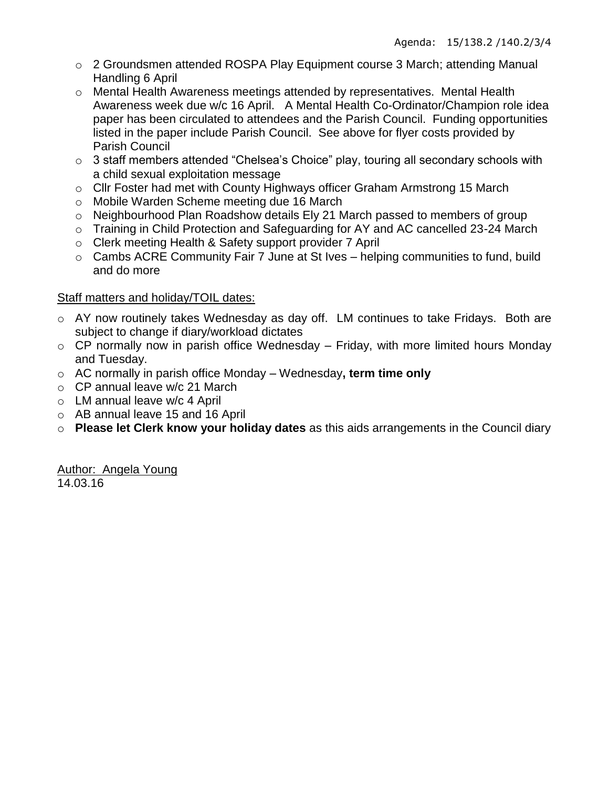- o 2 Groundsmen attended ROSPA Play Equipment course 3 March; attending Manual Handling 6 April
- o Mental Health Awareness meetings attended by representatives. Mental Health Awareness week due w/c 16 April. A Mental Health Co-Ordinator/Champion role idea paper has been circulated to attendees and the Parish Council. Funding opportunities listed in the paper include Parish Council. See above for flyer costs provided by Parish Council
- o 3 staff members attended "Chelsea's Choice" play, touring all secondary schools with a child sexual exploitation message
- o Cllr Foster had met with County Highways officer Graham Armstrong 15 March
- o Mobile Warden Scheme meeting due 16 March
- o Neighbourhood Plan Roadshow details Ely 21 March passed to members of group
- o Training in Child Protection and Safeguarding for AY and AC cancelled 23-24 March
- o Clerk meeting Health & Safety support provider 7 April
- o Cambs ACRE Community Fair 7 June at St Ives helping communities to fund, build and do more

# Staff matters and holiday/TOIL dates:

- o AY now routinely takes Wednesday as day off. LM continues to take Fridays. Both are subject to change if diary/workload dictates
- $\circ$  CP normally now in parish office Wednesday Friday, with more limited hours Monday and Tuesday.
- o AC normally in parish office Monday Wednesday**, term time only**
- o CP annual leave w/c 21 March
- o LM annual leave w/c 4 April
- o AB annual leave 15 and 16 April
- o **Please let Clerk know your holiday dates** as this aids arrangements in the Council diary

Author: Angela Young 14.03.16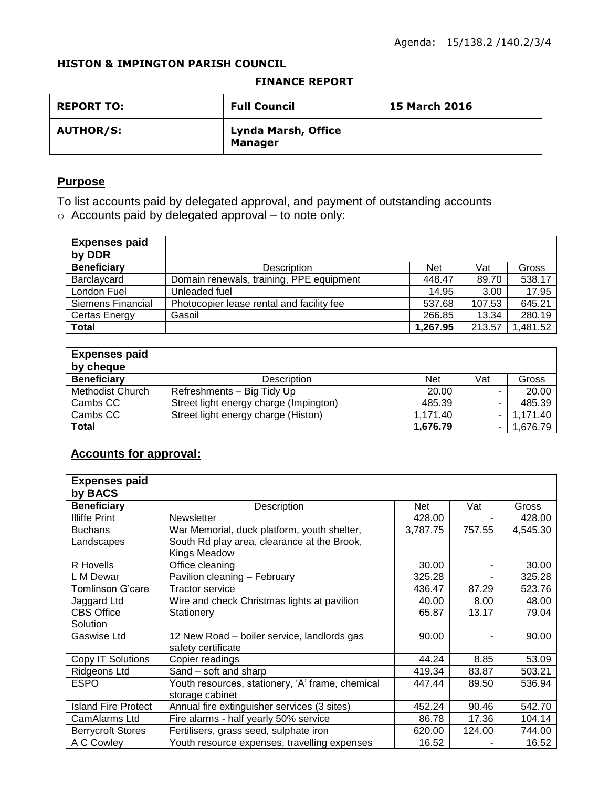## **HISTON & IMPINGTON PARISH COUNCIL**

#### **FINANCE REPORT**

| <b>REPORT TO:</b> | <b>Full Council</b>                          | <b>15 March 2016</b> |
|-------------------|----------------------------------------------|----------------------|
| <b>AUTHOR/S:</b>  | <b>Lynda Marsh, Office</b><br><b>Manager</b> |                      |

# **Purpose**

To list accounts paid by delegated approval, and payment of outstanding accounts o Accounts paid by delegated approval – to note only:

| <b>Expenses paid</b><br>by DDR |                                           |            |        |          |
|--------------------------------|-------------------------------------------|------------|--------|----------|
| <b>Beneficiary</b>             | <b>Description</b>                        | <b>Net</b> | Vat    | Gross    |
| Barclaycard                    | Domain renewals, training, PPE equipment  | 448.47     | 89.70  | 538.17   |
| London Fuel                    | Unleaded fuel                             | 14.95      | 3.00   | 17.95    |
| Siemens Financial              | Photocopier lease rental and facility fee | 537.68     | 107.53 | 645.21   |
| Certas Energy                  | Gasoil                                    | 266.85     | 13.34  | 280.19   |
| <b>Total</b>                   |                                           | 1,267.95   | 213.57 | 1,481.52 |

| <b>Expenses paid</b><br>by cheque |                                        |            |     |          |
|-----------------------------------|----------------------------------------|------------|-----|----------|
| <b>Beneficiary</b>                | <b>Description</b>                     | <b>Net</b> | Vat | Gross    |
| Methodist Church                  | Refreshments - Big Tidy Up             | 20.00      |     | 20.00    |
| Cambs CC                          | Street light energy charge (Impington) | 485.39     | -   | 485.39   |
| Cambs CC                          | Street light energy charge (Histon)    | 1,171.40   |     | 1,171.40 |
| <b>Total</b>                      |                                        | 1,676.79   |     | 1,676.79 |

# **Accounts for approval:**

| <b>Expenses paid</b><br>by BACS |                                                                     |          |        |          |
|---------------------------------|---------------------------------------------------------------------|----------|--------|----------|
| <b>Beneficiary</b>              | Description                                                         | Net      | Vat    | Gross    |
| <b>Illiffe Print</b>            | <b>Newsletter</b>                                                   | 428.00   |        | 428.00   |
| <b>Buchans</b>                  | War Memorial, duck platform, youth shelter,                         | 3,787.75 | 757.55 | 4,545.30 |
| Landscapes                      | South Rd play area, clearance at the Brook,<br>Kings Meadow         |          |        |          |
| R Hovells                       | Office cleaning                                                     | 30.00    |        | 30.00    |
| L M Dewar                       | Pavilion cleaning - February                                        | 325.28   |        | 325.28   |
| Tomlinson G'care                | <b>Tractor service</b>                                              | 436.47   | 87.29  | 523.76   |
| Jaggard Ltd                     | Wire and check Christmas lights at pavilion                         | 40.00    | 8.00   | 48.00    |
| <b>CBS Office</b>               | Stationery                                                          | 65.87    | 13.17  | 79.04    |
| Solution                        |                                                                     |          |        |          |
| Gaswise Ltd                     | 12 New Road - boiler service, landlords gas<br>safety certificate   | 90.00    |        | 90.00    |
| Copy IT Solutions               | Copier readings                                                     | 44.24    | 8.85   | 53.09    |
| Ridgeons Ltd                    | Sand - soft and sharp                                               | 419.34   | 83.87  | 503.21   |
| <b>ESPO</b>                     | Youth resources, stationery, 'A' frame, chemical<br>storage cabinet | 447.44   | 89.50  | 536.94   |
| <b>Island Fire Protect</b>      | Annual fire extinguisher services (3 sites)                         | 452.24   | 90.46  | 542.70   |
| CamAlarms Ltd                   | Fire alarms - half yearly 50% service                               | 86.78    | 17.36  | 104.14   |
| <b>Berrycroft Stores</b>        | Fertilisers, grass seed, sulphate iron                              | 620.00   | 124.00 | 744.00   |
| A C Cowley                      | Youth resource expenses, travelling expenses                        | 16.52    |        | 16.52    |